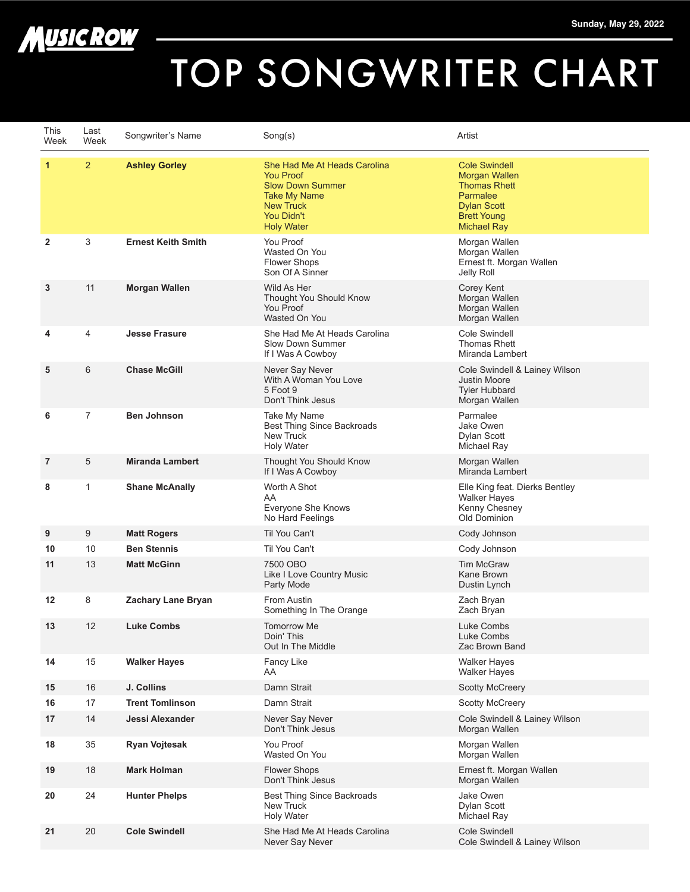

## TOP SONGWRITER CHART

| This<br>Week | Last<br>Week   | Songwriter's Name         | Song(s)                                                                                                                                                   | Artist                                                                                                                                     |
|--------------|----------------|---------------------------|-----------------------------------------------------------------------------------------------------------------------------------------------------------|--------------------------------------------------------------------------------------------------------------------------------------------|
| $\mathbf{1}$ | $\overline{2}$ | <b>Ashley Gorley</b>      | She Had Me At Heads Carolina<br><b>You Proof</b><br><b>Slow Down Summer</b><br><b>Take My Name</b><br><b>New Truck</b><br>You Didn't<br><b>Holy Water</b> | <b>Cole Swindell</b><br>Morgan Wallen<br><b>Thomas Rhett</b><br>Parmalee<br><b>Dylan Scott</b><br><b>Brett Young</b><br><b>Michael Ray</b> |
| 2            | 3              | <b>Ernest Keith Smith</b> | You Proof<br>Wasted On You<br><b>Flower Shops</b><br>Son Of A Sinner                                                                                      | Morgan Wallen<br>Morgan Wallen<br>Ernest ft. Morgan Wallen<br>Jelly Roll                                                                   |
| 3            | 11             | <b>Morgan Wallen</b>      | Wild As Her<br>Thought You Should Know<br>You Proof<br>Wasted On You                                                                                      | Corey Kent<br>Morgan Wallen<br>Morgan Wallen<br>Morgan Wallen                                                                              |
| 4            | 4              | <b>Jesse Frasure</b>      | She Had Me At Heads Carolina<br>Slow Down Summer<br>If I Was A Cowboy                                                                                     | Cole Swindell<br><b>Thomas Rhett</b><br>Miranda Lambert                                                                                    |
| 5            | 6              | <b>Chase McGill</b>       | Never Say Never<br>With A Woman You Love<br>5 Foot 9<br>Don't Think Jesus                                                                                 | Cole Swindell & Lainey Wilson<br>Justin Moore<br><b>Tyler Hubbard</b><br>Morgan Wallen                                                     |
| 6            | $\overline{7}$ | <b>Ben Johnson</b>        | Take My Name<br>Best Thing Since Backroads<br><b>New Truck</b><br><b>Holy Water</b>                                                                       | Parmalee<br>Jake Owen<br>Dylan Scott<br>Michael Ray                                                                                        |
| 7            | 5              | <b>Miranda Lambert</b>    | Thought You Should Know<br>If I Was A Cowboy                                                                                                              | Morgan Wallen<br>Miranda Lambert                                                                                                           |
| 8            | $\mathbf{1}$   | <b>Shane McAnally</b>     | Worth A Shot<br>AA<br>Everyone She Knows<br>No Hard Feelings                                                                                              | Elle King feat. Dierks Bentley<br><b>Walker Hayes</b><br>Kenny Chesney<br>Old Dominion                                                     |
| 9            | 9              | <b>Matt Rogers</b>        | Til You Can't                                                                                                                                             | Cody Johnson                                                                                                                               |
| 10           | 10             | <b>Ben Stennis</b>        | Til You Can't                                                                                                                                             | Cody Johnson                                                                                                                               |
| 11           | 13             | <b>Matt McGinn</b>        | 7500 OBO<br>Like I Love Country Music<br>Party Mode                                                                                                       | <b>Tim McGraw</b><br>Kane Brown<br>Dustin Lynch                                                                                            |
| 12           | 8              | <b>Zachary Lane Bryan</b> | From Austin<br>Something In The Orange                                                                                                                    | Zach Bryan<br>Zach Bryan                                                                                                                   |
| 13           | 12             | <b>Luke Combs</b>         | <b>Tomorrow Me</b><br>Doin' This<br>Out In The Middle                                                                                                     | Luke Combs<br>Luke Combs<br>Zac Brown Band                                                                                                 |
| 14           | 15             | <b>Walker Hayes</b>       | Fancy Like<br>AA                                                                                                                                          | <b>Walker Hayes</b><br><b>Walker Hayes</b>                                                                                                 |
| 15           | 16             | J. Collins                | Damn Strait                                                                                                                                               | <b>Scotty McCreery</b>                                                                                                                     |
| 16           | 17             | <b>Trent Tomlinson</b>    | Damn Strait                                                                                                                                               | <b>Scotty McCreery</b>                                                                                                                     |
| 17           | 14             | Jessi Alexander           | Never Say Never<br>Don't Think Jesus                                                                                                                      | Cole Swindell & Lainey Wilson<br>Morgan Wallen                                                                                             |
| 18           | 35             | <b>Ryan Vojtesak</b>      | You Proof<br>Wasted On You                                                                                                                                | Morgan Wallen<br>Morgan Wallen                                                                                                             |
| 19           | 18             | Mark Holman               | Flower Shops<br>Don't Think Jesus                                                                                                                         | Ernest ft. Morgan Wallen<br>Morgan Wallen                                                                                                  |
| 20           | 24             | <b>Hunter Phelps</b>      | <b>Best Thing Since Backroads</b><br>New Truck<br><b>Holy Water</b>                                                                                       | Jake Owen<br>Dylan Scott<br>Michael Ray                                                                                                    |
| 21           | 20             | <b>Cole Swindell</b>      | She Had Me At Heads Carolina<br>Never Say Never                                                                                                           | <b>Cole Swindell</b><br>Cole Swindell & Lainey Wilson                                                                                      |